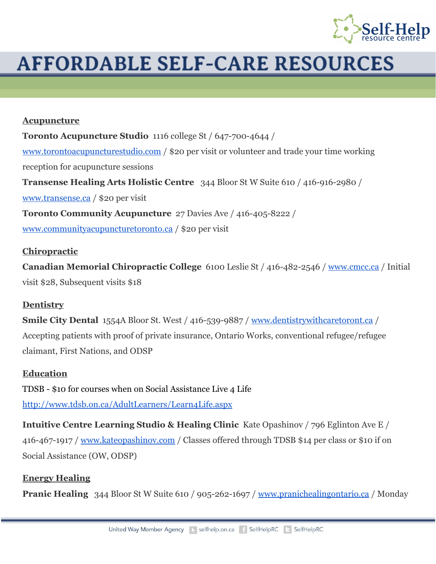

# **AFFORDABLE SELF-CARE RESOURCES**

#### **Acupuncture**

**Toronto Acupuncture Studio** 1116 college St / 647-700-4644 / [www.torontoacupuncturestudio.com](http://www.torontoacupuncturestudio.com/) / \$20 per visit or volunteer and trade your time working reception for acupuncture sessions **Transense Healing Arts Holistic Centre** 344 Bloor St W Suite 610 / 416-916-2980 / [www.transense.ca](http://www.transense.ca/) / \$20 per visit **Toronto Community Acupuncture** 27 Davies Ave / 416-405-8222 / [www.communityacupuncturetoronto.ca](http://www.communityacupuncturetoronto.ca/) / \$20 per visit

### **Chiropractic**

**Canadian Memorial Chiropractic College** 6100 Leslie St / 416-482-2546 / [www.cmcc.ca](http://www.cmcc.ca/) / Initial visit \$28, Subsequent visits \$18

### **Dentistry**

**Smile City Dental** 1554A Bloor St. West / 416-539-9887 / [www.dentistrywithcaretoront.ca](http://www.dentistrywithcaretoronto.ca/) / Accepting patients with proof of private insurance, Ontario Works, conventional refugee/refugee claimant, First Nations, and ODSP

### **Education**

TDSB - \$10 for courses when on Social Assistance Live 4 Life <http://www.tdsb.on.ca/AdultLearners/Learn4Life.aspx>

**Intuitive Centre Learning Studio & Healing Clinic**Kate Opashinov / 796 Eglinton Ave E / 416-467-1917 / [www.kateopashinov.com](http://www.kateopashinov.com/) / Classes offered through TDSB \$14 per class or \$10 if on Social Assistance (OW, ODSP)

### **Energy Healing**

**Pranic Healing** 344 Bloor St W Suite 610 / 905-262-1697 / [www.pranichealingontario.ca](http://www.pranichealingontario.ca/) / Monday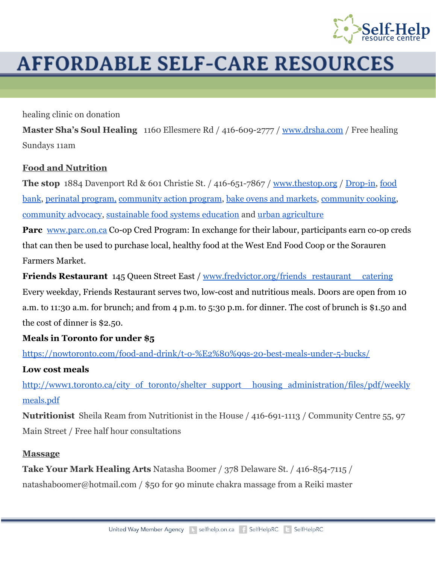

# **AFFORDABLE SELF-CARE RESOURCES**

healing clinic on donation

**Master Sha's Soul Healing** 1160 Ellesmere Rd / 416-609-2777 / [www.drsha.com](http://www.drsha.com/) / Free healing Sundays 11am

### **Food and Nutrition**

**The stop** 1884 Davenport Rd & 601 Christie St. / 416-651-7867 / [www.thestop.org](http://www.thestop.org/) / Drop-in, [food](http://www.thestop.org/food-bank) [bank,](http://www.thestop.org/food-bank) perinatal [program,](http://www.thestop.org/healthy-beginnings) [community](http://www.thestop.org/civic-engagement) action program, bake ovens and [markets,](http://www.thestop.org/bake-ovens-markets) [community](http://www.thestop.org/community-cooking) cooking, [community](http://www.thestop.org/community-advocacy) advocacy, [sustainable](http://www.thestop.org/sustainable-food-systems-education) food systems education and urban [agriculture](http://www.thestop.org/community-gardens)

**Parc** [www.parc.on.ca](http://www.parc.on.ca/) Co-op Cred Program: In exchange for their labour, participants earn co-op creds that can then be used to purchase local, healthy food at the West End Food Coop or the Sorauren Farmers Market.

**Friends Restaurant** 145 Queen Street East / [www.fredvictor.org/friends\\_restaurant\\_\\_catering](http://www.fredvictor.org/friends_restaurant__catering) Every weekday, Friends Restaurant serves two, low-cost and nutritious meals. Doors are open from 10 a.m. to 11:30 a.m. for brunch; and from 4 p.m. to 5:30 p.m. for dinner. The cost of brunch is \$1.50 and the cost of dinner is \$2.50.

# **Meals in Toronto for under \$5**

https://nowtoronto.com/food-and-drink/t-o-%E2%80%99s-20-best-meals-under-5-bucks/

# **Low cost meal[s](http://www1.toronto.ca/city_of_toronto/shelter_support__housing_administration/files/pdf/weeklymeals.pdf)**

[http://www1.toronto.ca/city\\_of\\_toronto/shelter\\_support\\_\\_housing\\_administration/files/pdf/weekly](http://www1.toronto.ca/city_of_toronto/shelter_support__housing_administration/files/pdf/weeklymeals.pdf) [meals.pdf](http://www1.toronto.ca/city_of_toronto/shelter_support__housing_administration/files/pdf/weeklymeals.pdf)

**Nutritionist** Sheila Ream from Nutritionist in the House / 416-691-1113 / Community Centre 55, 97 Main Street / Free half hour consultations

### **Massage**

**Take Your Mark Healing Arts** Natasha Boomer / 378 Delaware St. / 416-854-7115 / natashaboomer@hotmail.com / \$50 for 90 minute chakra massage from a Reiki master